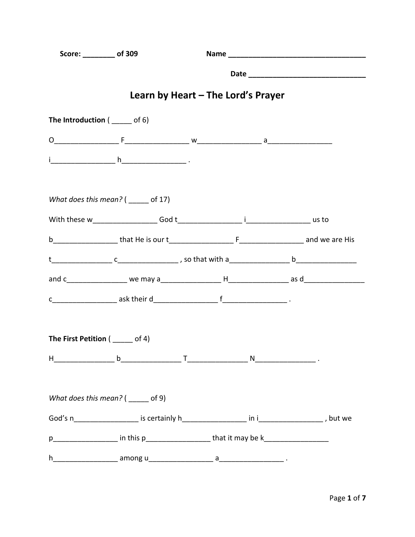| Score: _________ of 309            |                                                                                                     |                                    |  |
|------------------------------------|-----------------------------------------------------------------------------------------------------|------------------------------------|--|
|                                    |                                                                                                     |                                    |  |
|                                    |                                                                                                     | Learn by Heart – The Lord's Prayer |  |
| The Introduction $($ _____ of 6)   |                                                                                                     |                                    |  |
|                                    |                                                                                                     |                                    |  |
|                                    |                                                                                                     |                                    |  |
|                                    | What does this mean? $($ _____ of 17)                                                               |                                    |  |
|                                    |                                                                                                     |                                    |  |
|                                    |                                                                                                     |                                    |  |
|                                    |                                                                                                     |                                    |  |
|                                    |                                                                                                     |                                    |  |
|                                    |                                                                                                     |                                    |  |
| The First Petition $($ _____ of 4) |                                                                                                     |                                    |  |
|                                    |                                                                                                     |                                    |  |
|                                    | What does this mean? $($ ______ of 9)                                                               |                                    |  |
|                                    |                                                                                                     |                                    |  |
|                                    | p_______________________ in this p________________________that it may be k_________________________ |                                    |  |
|                                    |                                                                                                     |                                    |  |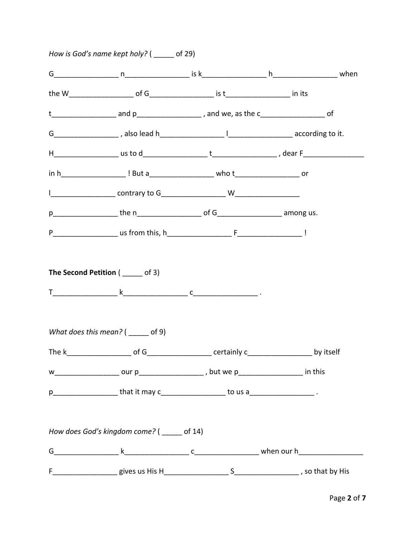| How is God's name kept holy? $($ _____ of 29)                                                |  |
|----------------------------------------------------------------------------------------------|--|
|                                                                                              |  |
|                                                                                              |  |
|                                                                                              |  |
|                                                                                              |  |
|                                                                                              |  |
|                                                                                              |  |
|                                                                                              |  |
|                                                                                              |  |
|                                                                                              |  |
| What does this mean? $($ ______ of 9)                                                        |  |
|                                                                                              |  |
| w_____________________ our p________________________, but we p______________________ in this |  |
| p_____________________that it may c______________________ to us a_______________________.    |  |
| How does God's kingdom come? ( ____ of 14)                                                   |  |
|                                                                                              |  |
|                                                                                              |  |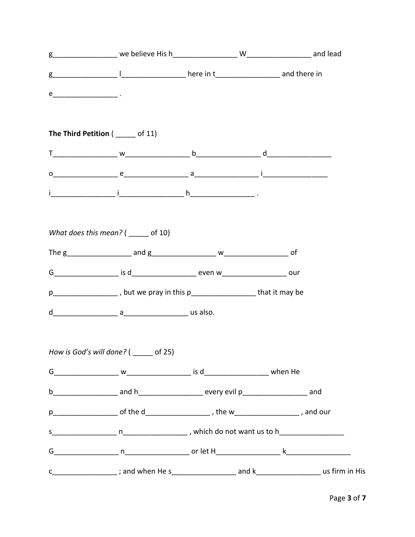| The Third Petition ( _____ of 11)                                                                   |  |  |
|-----------------------------------------------------------------------------------------------------|--|--|
|                                                                                                     |  |  |
|                                                                                                     |  |  |
|                                                                                                     |  |  |
|                                                                                                     |  |  |
| What does this mean? $($ ______ of 10)                                                              |  |  |
|                                                                                                     |  |  |
|                                                                                                     |  |  |
| p___________________, but we pray in this p____________________that it may be                       |  |  |
|                                                                                                     |  |  |
|                                                                                                     |  |  |
| How is God's will done? ( _____ of 25)                                                              |  |  |
|                                                                                                     |  |  |
|                                                                                                     |  |  |
| p________________________of the d________________________, the w_______________________, and our    |  |  |
|                                                                                                     |  |  |
|                                                                                                     |  |  |
| c___________________; and when He s______________________ and k_____________________ us firm in His |  |  |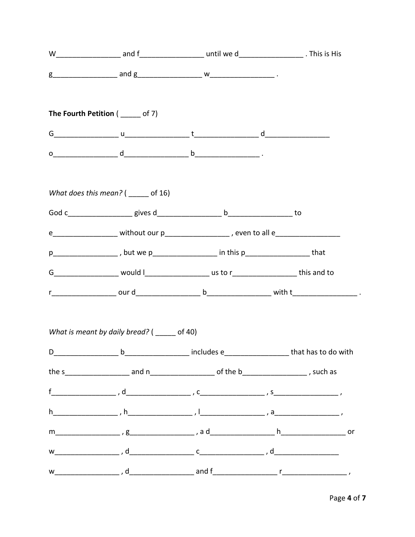| The Fourth Petition ( _____ of 7)                                                                                                                                                                                                                                                             |  |
|-----------------------------------------------------------------------------------------------------------------------------------------------------------------------------------------------------------------------------------------------------------------------------------------------|--|
| $G$ and $\frac{1}{2}$ and $\frac{1}{2}$ and $\frac{1}{2}$ and $\frac{1}{2}$ and $\frac{1}{2}$ and $\frac{1}{2}$ and $\frac{1}{2}$ and $\frac{1}{2}$ and $\frac{1}{2}$ and $\frac{1}{2}$ and $\frac{1}{2}$ and $\frac{1}{2}$ and $\frac{1}{2}$ and $\frac{1}{2}$ and $\frac{1}{2}$ and $\frac$ |  |
|                                                                                                                                                                                                                                                                                               |  |
| What does this mean? $($ ______ of 16)                                                                                                                                                                                                                                                        |  |
|                                                                                                                                                                                                                                                                                               |  |
| e_____________________ without our p_____________________, even to all e___________________________                                                                                                                                                                                           |  |
| p_____________________, but we p_____________________ in this p_____________________that                                                                                                                                                                                                      |  |
|                                                                                                                                                                                                                                                                                               |  |
|                                                                                                                                                                                                                                                                                               |  |
| What is meant by daily bread? ( _____ of 40)                                                                                                                                                                                                                                                  |  |
|                                                                                                                                                                                                                                                                                               |  |
|                                                                                                                                                                                                                                                                                               |  |
|                                                                                                                                                                                                                                                                                               |  |
|                                                                                                                                                                                                                                                                                               |  |
|                                                                                                                                                                                                                                                                                               |  |
|                                                                                                                                                                                                                                                                                               |  |
|                                                                                                                                                                                                                                                                                               |  |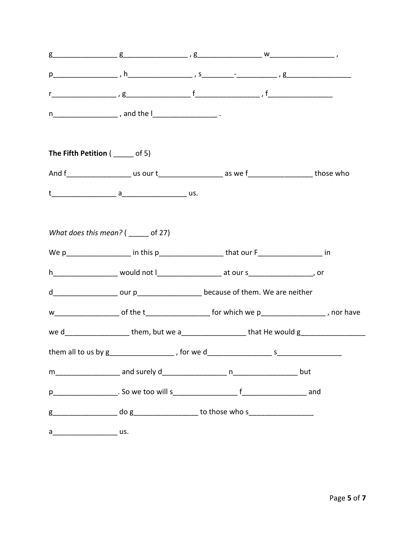|                                              | $g$                                                                                                 |  |  |
|----------------------------------------------|-----------------------------------------------------------------------------------------------------|--|--|
|                                              |                                                                                                     |  |  |
|                                              |                                                                                                     |  |  |
|                                              | n________________________, and the l_____________________________.                                  |  |  |
| <b>The Fifth Petition (</b> $\_\_\_\_$ of 5) |                                                                                                     |  |  |
|                                              |                                                                                                     |  |  |
|                                              |                                                                                                     |  |  |
|                                              |                                                                                                     |  |  |
| What does this mean? $($ ______ of 27)       |                                                                                                     |  |  |
|                                              | We p__________________ in this p_____________________ that our F__________________ in               |  |  |
|                                              |                                                                                                     |  |  |
|                                              | d________________________ our p________________________because of them. We are neither              |  |  |
|                                              |                                                                                                     |  |  |
|                                              | we d____________________them, but we a___________________that He would g___________________________ |  |  |
|                                              |                                                                                                     |  |  |
|                                              |                                                                                                     |  |  |
|                                              |                                                                                                     |  |  |
|                                              |                                                                                                     |  |  |
| a__________________________ us.              |                                                                                                     |  |  |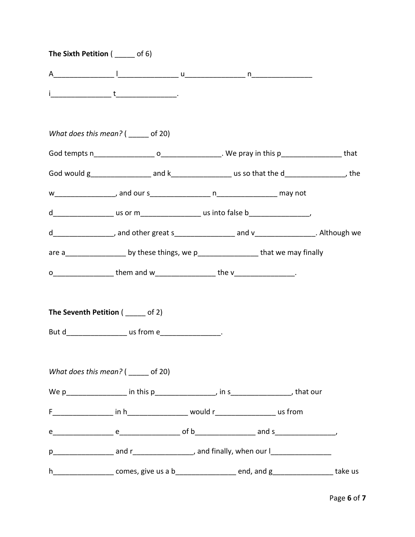| The Sixth Petition ( ______ of 6)      |                                                                                                               |  |  |
|----------------------------------------|---------------------------------------------------------------------------------------------------------------|--|--|
|                                        |                                                                                                               |  |  |
|                                        |                                                                                                               |  |  |
| What does this mean? $($ ______ of 20) |                                                                                                               |  |  |
|                                        |                                                                                                               |  |  |
|                                        | God would g________________________ and k_______________________ us so that the d_______________________, the |  |  |
|                                        |                                                                                                               |  |  |
|                                        | d_____________________us or m_______________________us into false b_________________________________          |  |  |
|                                        | d__________________, and other great s_________________ and v_________________. Although we                   |  |  |
|                                        | are a____________________ by these things, we p_____________________that we may finally                       |  |  |
|                                        | 0___________________them and w___________________the v_________________.                                      |  |  |
| The Seventh Petition ( _____ of 2)     |                                                                                                               |  |  |
|                                        | But d_____________________ us from e___________________.                                                      |  |  |
| What does this mean? $($ ______ of 20) |                                                                                                               |  |  |
|                                        | We p___________________ in this p___________________, in s__________________, that our                        |  |  |
|                                        |                                                                                                               |  |  |
|                                        |                                                                                                               |  |  |
|                                        |                                                                                                               |  |  |
|                                        | h_____________________comes, give us a b_______________________end, and g____________________take us          |  |  |